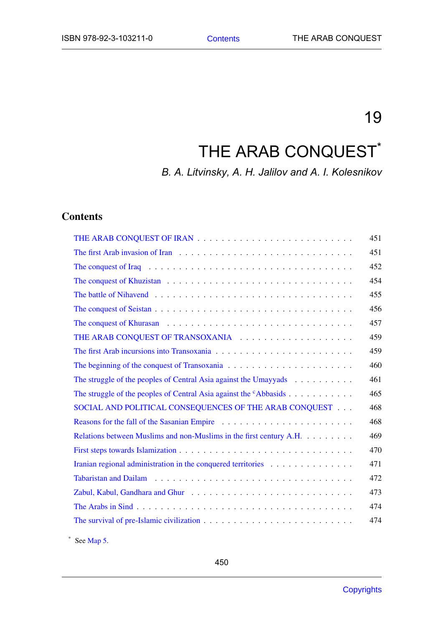# 19

# THE ARAB CONQUEST\*

*B. A. Litvinsky, A. H. Jalilov and A. I. Kolesnikov*

#### **Contents**

|                                                                     | 451 |
|---------------------------------------------------------------------|-----|
|                                                                     | 451 |
|                                                                     | 452 |
|                                                                     | 454 |
|                                                                     | 455 |
|                                                                     | 456 |
|                                                                     | 457 |
| THE ARAB CONQUEST OF TRANSOXANIA                                    | 459 |
|                                                                     | 459 |
|                                                                     | 460 |
| The struggle of the peoples of Central Asia against the Umayyads    | 461 |
|                                                                     | 465 |
| SOCIAL AND POLITICAL CONSEQUENCES OF THE ARAB CONQUEST              | 468 |
|                                                                     | 468 |
| Relations between Muslims and non-Muslims in the first century A.H. | 469 |
|                                                                     | 470 |
| Iranian regional administration in the conquered territories        | 471 |
|                                                                     | 472 |
|                                                                     | 473 |
|                                                                     | 474 |
|                                                                     | 474 |

\* See Map 5.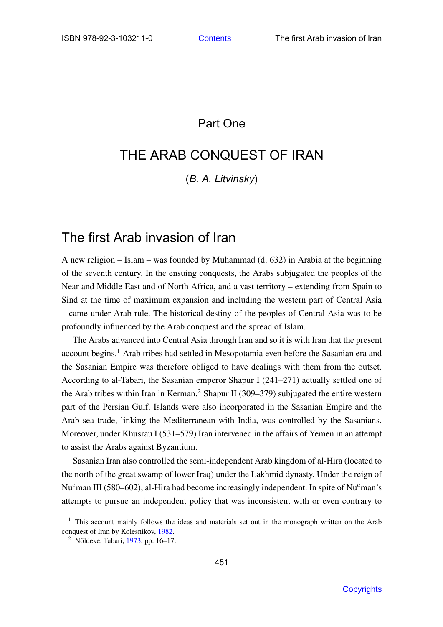#### Part One

# THE ARAB CONQUEST OF IRAN

(*B. A. Litvinsky*)

### The first Arab invasion of Iran

A new religion – Islam – was founded by Muhammad (d. 632) in Arabia at the beginning of the seventh century. In the ensuing conquests, the Arabs subjugated the peoples of the Near and Middle East and of North Africa, and a vast territory – extending from Spain to Sind at the time of maximum expansion and including the western part of Central Asia – came under Arab rule. The historical destiny of the peoples of Central Asia was to be profoundly influenced by the Arab conquest and the spread of Islam.

The Arabs advanced into Central Asia through Iran and so it is with Iran that the present account begins.<sup>1</sup> Arab tribes had settled in Mesopotamia even before the Sasanian era and the Sasanian Empire was therefore obliged to have dealings with them from the outset. According to al-Tabari, the Sasanian emperor Shapur I (241–271) actually settled one of the Arab tribes within Iran in Kerman.<sup>2</sup> Shapur II (309–379) subjugated the entire western part of the Persian Gulf. Islands were also incorporated in the Sasanian Empire and the Arab sea trade, linking the Mediterranean with India, was controlled by the Sasanians. Moreover, under Khusrau I (531–579) Iran intervened in the affairs of Yemen in an attempt to assist the Arabs against Byzantium.

Sasanian Iran also controlled the semi-independent Arab kingdom of al-Hira (located to the north of the great swamp of lower Iraq) under the Lakhmid dynasty. Under the reign of Nu<sup>c</sup>man III (580–602), al-Hira had become increasingly independent. In spite of Nu<sup>c</sup>man's attempts to pursue an independent policy that was inconsistent with or even contrary to

<sup>&</sup>lt;sup>1</sup> This account mainly follows the ideas and materials set out in the monograph written on the Arab conquest of Iran by Kolesnikov, 1982.

<sup>2</sup> Nöldeke, Tabari, 1973, pp. 16–17.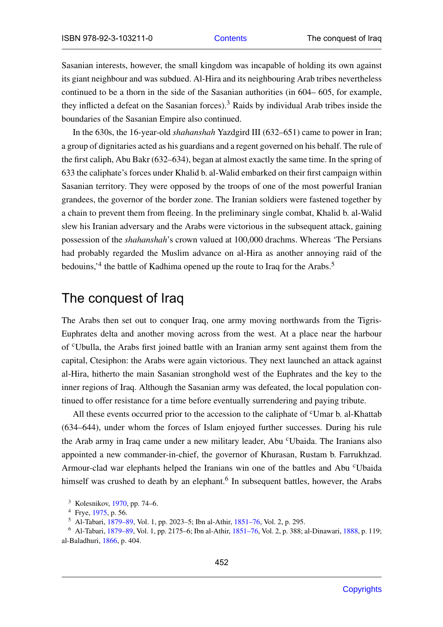Sasanian interests, however, the small kingdom was incapable of holding its own against its giant neighbour and was subdued. Al-Hira and its neighbouring Arab tribes nevertheless continued to be a thorn in the side of the Sasanian authorities (in 604– 605, for example, they inflicted a defeat on the Sasanian forces).<sup>3</sup> Raids by individual Arab tribes inside the boundaries of the Sasanian Empire also continued.

In the 630s, the 16-year-old *shahanshah* Yazdgird III (632–651) came to power in Iran; a group of dignitaries acted as his guardians and a regent governed on his behalf. The rule of the first caliph, Abu Bakr (632–634), began at almost exactly the same time. In the spring of 633 the caliphate's forces under Khalid b. al-Walid embarked on their first campaign within Sasanian territory. They were opposed by the troops of one of the most powerful Iranian grandees, the governor of the border zone. The Iranian soldiers were fastened together by a chain to prevent them from fleeing. In the preliminary single combat, Khalid b. al-Walid slew his Iranian adversary and the Arabs were victorious in the subsequent attack, gaining possession of the *shahanshah*'s crown valued at 100,000 drachms. Whereas 'The Persians had probably regarded the Muslim advance on al-Hira as another annoying raid of the bedouins,<sup>4</sup> the battle of Kadhima opened up the route to Iraq for the Arabs.<sup>5</sup>

### The conquest of Iraq

The Arabs then set out to conquer Iraq, one army moving northwards from the Tigris-Euphrates delta and another moving across from the west. At a place near the harbour of <sup>c</sup>Ubulla, the Arabs first joined battle with an Iranian army sent against them from the capital, Ctesiphon: the Arabs were again victorious. They next launched an attack against al-Hira, hitherto the main Sasanian stronghold west of the Euphrates and the key to the inner regions of Iraq. Although the Sasanian army was defeated, the local population continued to offer resistance for a time before eventually surrendering and paying tribute.

All these events occurred prior to the accession to the caliphate of <sup>c</sup>Umar b. al-Khattab (634–644), under whom the forces of Islam enjoyed further successes. During his rule the Arab army in Iraq came under a new military leader, Abu <sup>c</sup>Ubaida. The Iranians also appointed a new commander-in-chief, the governor of Khurasan, Rustam b. Farrukhzad. Armour-clad war elephants helped the Iranians win one of the battles and Abu <sup>c</sup>Ubaida himself was crushed to death by an elephant.<sup>6</sup> In subsequent battles, however, the Arabs

<sup>3</sup> Kolesnikov, 1970, pp. 74–6.

<sup>4</sup> Frye, 1975, p. 56.

<sup>5</sup> Al-Tabari, 1879–89, Vol. 1, pp. 2023–5; Ibn al-Athir, 1851–76, Vol. 2, p. 295.

<sup>6</sup> Al-Tabari, 1879–89, Vol. 1, pp. 2175–6; Ibn al-Athir, 1851–76, Vol. 2, p. 388; al-Dinawari, 1888, p. 119; al-Baladhuri, 1866, p. 404.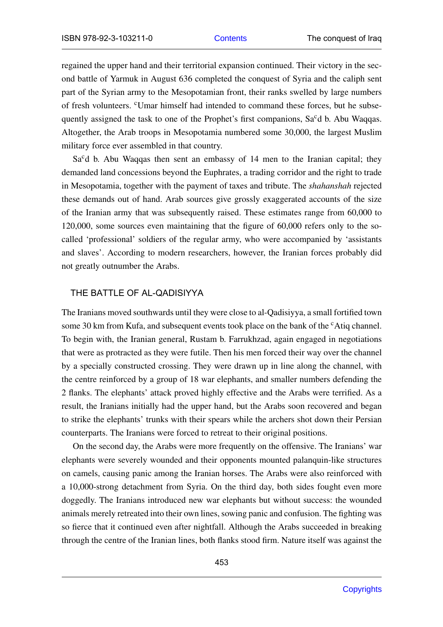regained the upper hand and their territorial expansion continued. Their victory in the second battle of Yarmuk in August 636 completed the conquest of Syria and the caliph sent part of the Syrian army to the Mesopotamian front, their ranks swelled by large numbers of fresh volunteers. <sup>c</sup>Umar himself had intended to command these forces, but he subsequently assigned the task to one of the Prophet's first companions, Sa<sup>c</sup>d b. Abu Waqqas. Altogether, the Arab troops in Mesopotamia numbered some 30,000, the largest Muslim military force ever assembled in that country.

 $Sa<sup>c</sup>d$  b. Abu Waqqas then sent an embassy of 14 men to the Iranian capital; they demanded land concessions beyond the Euphrates, a trading corridor and the right to trade in Mesopotamia, together with the payment of taxes and tribute. The *shahanshah* rejected these demands out of hand. Arab sources give grossly exaggerated accounts of the size of the Iranian army that was subsequently raised. These estimates range from 60,000 to 120,000, some sources even maintaining that the figure of 60,000 refers only to the socalled 'professional' soldiers of the regular army, who were accompanied by 'assistants and slaves'. According to modern researchers, however, the Iranian forces probably did not greatly outnumber the Arabs.

#### THE BATTLE OF AL-QADISIYYA

The Iranians moved southwards until they were close to al-Qadisiyya, a small fortified town some 30 km from Kufa, and subsequent events took place on the bank of the  $\textdegree$ Atiq channel. To begin with, the Iranian general, Rustam b. Farrukhzad, again engaged in negotiations that were as protracted as they were futile. Then his men forced their way over the channel by a specially constructed crossing. They were drawn up in line along the channel, with the centre reinforced by a group of 18 war elephants, and smaller numbers defending the 2 flanks. The elephants' attack proved highly effective and the Arabs were terrified. As a result, the Iranians initially had the upper hand, but the Arabs soon recovered and began to strike the elephants' trunks with their spears while the archers shot down their Persian counterparts. The Iranians were forced to retreat to their original positions.

On the second day, the Arabs were more frequently on the offensive. The Iranians' war elephants were severely wounded and their opponents mounted palanquin-like structures on camels, causing panic among the Iranian horses. The Arabs were also reinforced with a 10,000-strong detachment from Syria. On the third day, both sides fought even more doggedly. The Iranians introduced new war elephants but without success: the wounded animals merely retreated into their own lines, sowing panic and confusion. The fighting was so fierce that it continued even after nightfall. Although the Arabs succeeded in breaking through the centre of the Iranian lines, both flanks stood firm. Nature itself was against the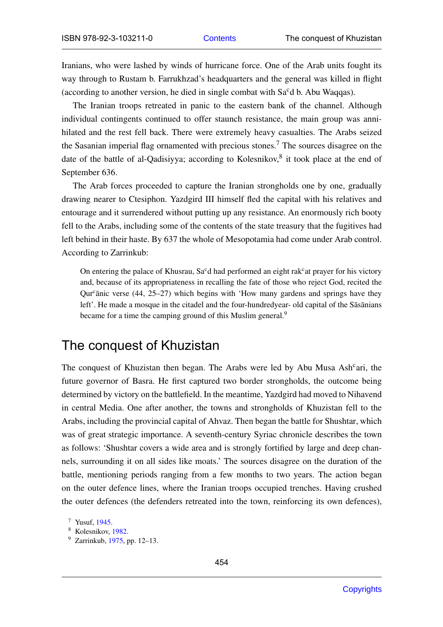Iranians, who were lashed by winds of hurricane force. One of the Arab units fought its way through to Rustam b. Farrukhzad's headquarters and the general was killed in flight (according to another version, he died in single combat with  $Sa^c d b$ . Abu Waqqas).

The Iranian troops retreated in panic to the eastern bank of the channel. Although individual contingents continued to offer staunch resistance, the main group was annihilated and the rest fell back. There were extremely heavy casualties. The Arabs seized the Sasanian imperial flag ornamented with precious stones.<sup>7</sup> The sources disagree on the date of the battle of al-Qadisiyya; according to Kolesnikov,<sup>8</sup> it took place at the end of September 636.

The Arab forces proceeded to capture the Iranian strongholds one by one, gradually drawing nearer to Ctesiphon. Yazdgird III himself fled the capital with his relatives and entourage and it surrendered without putting up any resistance. An enormously rich booty fell to the Arabs, including some of the contents of the state treasury that the fugitives had left behind in their haste. By 637 the whole of Mesopotamia had come under Arab control. According to Zarrinkub:

On entering the palace of Khusrau, Sa<sup>c</sup>d had performed an eight rak<sup>c</sup>at prayer for his victory and, because of its appropriateness in recalling the fate of those who reject God, recited the Qur<sup>c</sup>ānic verse (44, 25–27) which begins with 'How many gardens and springs have they left'. He made a mosque in the citadel and the four-hundredyear- old capital of the Sāsānians became for a time the camping ground of this Muslim general.<sup>9</sup>

#### The conquest of Khuzistan

The conquest of Khuzistan then began. The Arabs were led by Abu Musa Ash<sup>c</sup>ari, the future governor of Basra. He first captured two border strongholds, the outcome being determined by victory on the battlefield. In the meantime, Yazdgird had moved to Nihavend in central Media. One after another, the towns and strongholds of Khuzistan fell to the Arabs, including the provincial capital of Ahvaz. Then began the battle for Shushtar, which was of great strategic importance. A seventh-century Syriac chronicle describes the town as follows: 'Shushtar covers a wide area and is strongly fortified by large and deep channels, surrounding it on all sides like moats.' The sources disagree on the duration of the battle, mentioning periods ranging from a few months to two years. The action began on the outer defence lines, where the Iranian troops occupied trenches. Having crushed the outer defences (the defenders retreated into the town, reinforcing its own defences),

<sup>7</sup> Yusuf, 1945.

<sup>8</sup> Kolesnikov, 1982.

<sup>9</sup> Zarrinkub, 1975, pp. 12–13.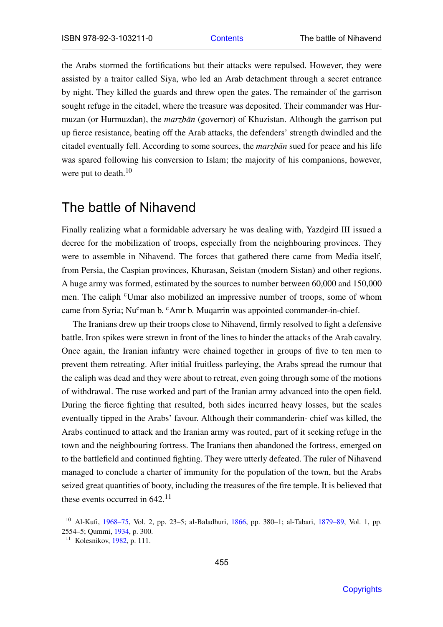the Arabs stormed the fortifications but their attacks were repulsed. However, they were assisted by a traitor called Siya, who led an Arab detachment through a secret entrance by night. They killed the guards and threw open the gates. The remainder of the garrison sought refuge in the citadel, where the treasure was deposited. Their commander was Hurmuzan (or Hurmuzdan), the *marzbān* (governor) of Khuzistan. Although the garrison put up fierce resistance, beating off the Arab attacks, the defenders' strength dwindled and the citadel eventually fell. According to some sources, the *marzban* sued for peace and his life was spared following his conversion to Islam; the majority of his companions, however, were put to death. $10$ 

### The battle of Nihavend

Finally realizing what a formidable adversary he was dealing with, Yazdgird III issued a decree for the mobilization of troops, especially from the neighbouring provinces. They were to assemble in Nihavend. The forces that gathered there came from Media itself, from Persia, the Caspian provinces, Khurasan, Seistan (modern Sistan) and other regions. A huge army was formed, estimated by the sources to number between 60,000 and 150,000 men. The caliph <sup>c</sup>Umar also mobilized an impressive number of troops, some of whom came from Syria;  $Nu<sup>c</sup>$ man b.  $c<sup>c</sup>$ Amr b. Muqarrin was appointed commander-in-chief.

The Iranians drew up their troops close to Nihavend, firmly resolved to fight a defensive battle. Iron spikes were strewn in front of the lines to hinder the attacks of the Arab cavalry. Once again, the Iranian infantry were chained together in groups of five to ten men to prevent them retreating. After initial fruitless parleying, the Arabs spread the rumour that the caliph was dead and they were about to retreat, even going through some of the motions of withdrawal. The ruse worked and part of the Iranian army advanced into the open field. During the fierce fighting that resulted, both sides incurred heavy losses, but the scales eventually tipped in the Arabs' favour. Although their commanderin- chief was killed, the Arabs continued to attack and the Iranian army was routed, part of it seeking refuge in the town and the neighbouring fortress. The Iranians then abandoned the fortress, emerged on to the battlefield and continued fighting. They were utterly defeated. The ruler of Nihavend managed to conclude a charter of immunity for the population of the town, but the Arabs seized great quantities of booty, including the treasures of the fire temple. It is believed that these events occurred in 642.<sup>11</sup>

<sup>10</sup> Al-Kufi, 1968–75, Vol. 2, pp. 23–5; al-Baladhuri, 1866, pp. 380–1; al-Tabari, 1879–89, Vol. 1, pp. 2554–5; Qummi, 1934, p. 300.

<sup>11</sup> Kolesnikov, 1982, p. 111.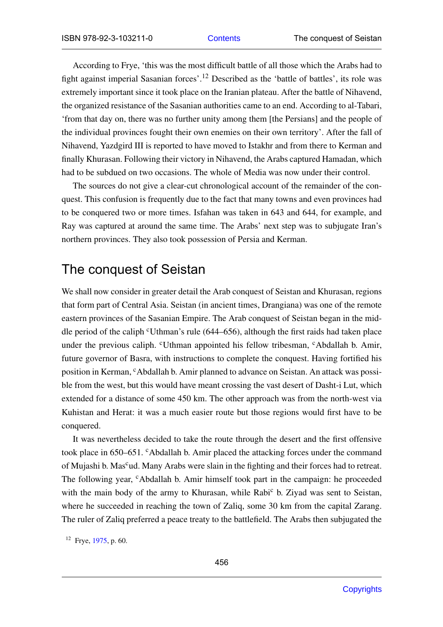According to Frye, 'this was the most difficult battle of all those which the Arabs had to fight against imperial Sasanian forces'.<sup>12</sup> Described as the 'battle of battles', its role was extremely important since it took place on the Iranian plateau. After the battle of Nihavend, the organized resistance of the Sasanian authorities came to an end. According to al-Tabari, 'from that day on, there was no further unity among them [the Persians] and the people of the individual provinces fought their own enemies on their own territory'. After the fall of Nihavend, Yazdgird III is reported to have moved to Istakhr and from there to Kerman and finally Khurasan. Following their victory in Nihavend, the Arabs captured Hamadan, which had to be subdued on two occasions. The whole of Media was now under their control.

The sources do not give a clear-cut chronological account of the remainder of the conquest. This confusion is frequently due to the fact that many towns and even provinces had to be conquered two or more times. Isfahan was taken in 643 and 644, for example, and Ray was captured at around the same time. The Arabs' next step was to subjugate Iran's northern provinces. They also took possession of Persia and Kerman.

### The conquest of Seistan

We shall now consider in greater detail the Arab conquest of Seistan and Khurasan, regions that form part of Central Asia. Seistan (in ancient times, Drangiana) was one of the remote eastern provinces of the Sasanian Empire. The Arab conquest of Seistan began in the middle period of the caliph <sup>c</sup>Uthman's rule  $(644–656)$ , although the first raids had taken place under the previous caliph. <sup>c</sup>Uthman appointed his fellow tribesman, <sup>c</sup>Abdallah b. Amir, future governor of Basra, with instructions to complete the conquest. Having fortified his position in Kerman, <sup>c</sup>Abdallah b. Amir planned to advance on Seistan. An attack was possible from the west, but this would have meant crossing the vast desert of Dasht-i Lut, which extended for a distance of some 450 km. The other approach was from the north-west via Kuhistan and Herat: it was a much easier route but those regions would first have to be conquered.

It was nevertheless decided to take the route through the desert and the first offensive took place in 650–651. <sup>c</sup>Abdallah b. Amir placed the attacking forces under the command of Mujashi b. Mas<sup>c</sup>ud. Many Arabs were slain in the fighting and their forces had to retreat. The following year, <sup>c</sup>Abdallah b. Amir himself took part in the campaign: he proceeded with the main body of the army to Khurasan, while Rabi<sup>c</sup> b. Ziyad was sent to Seistan, where he succeeded in reaching the town of Zaliq, some 30 km from the capital Zarang. The ruler of Zaliq preferred a peace treaty to the battlefield. The Arabs then subjugated the

<sup>12</sup> Frye, 1975, p. 60.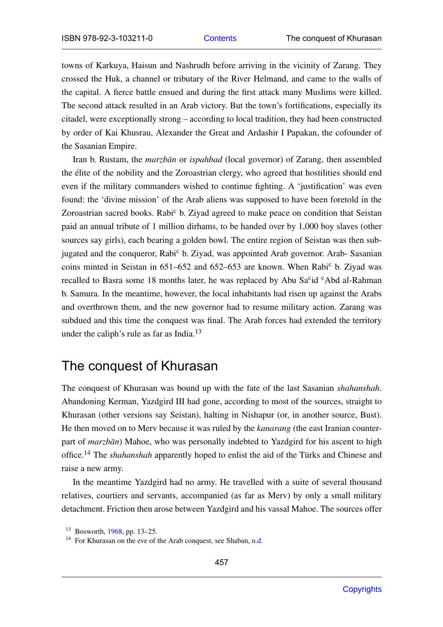towns of Karkuya, Haisun and Nashrudh before arriving in the vicinity of Zarang. They crossed the Huk, a channel or tributary of the River Helmand, and came to the walls of the capital. A fierce battle ensued and during the first attack many Muslims were killed. The second attack resulted in an Arab victory. But the town's fortifications, especially its citadel, were exceptionally strong – according to local tradition, they had been constructed by order of Kai Khusrau, Alexander the Great and Ardashir I Papakan, the cofounder of the Sasanian Empire.

Iran b. Rustam, the *marzbān* or *ispahbad* (local governor) of Zarang, then assembled the élite of the nobility and the Zoroastrian clergy, who agreed that hostilities should end even if the military commanders wished to continue fighting. A 'justification' was even found: the 'divine mission' of the Arab aliens was supposed to have been foretold in the Zoroastrian sacred books. Rabi<sup>c</sup> b. Ziyad agreed to make peace on condition that Seistan paid an annual tribute of 1 million dirhams, to be handed over by 1,000 boy slaves (other sources say girls), each bearing a golden bowl. The entire region of Seistan was then subjugated and the conqueror, Rabi<sup>c</sup> b. Ziyad, was appointed Arab governor. Arab- Sasanian coins minted in Seistan in 651–652 and 652–653 are known. When Rabi<sup>c</sup> b. Ziyad was recalled to Basra some 18 months later, he was replaced by Abu Sa<sup>c</sup>id <sup>c</sup>Abd al-Rahman b. Samura. In the meantime, however, the local inhabitants had risen up against the Arabs and overthrown them, and the new governor had to resume military action. Zarang was subdued and this time the conquest was final. The Arab forces had extended the territory under the caliph's rule as far as India.<sup>13</sup>

#### The conquest of Khurasan

The conquest of Khurasan was bound up with the fate of the last Sasanian *shahanshah*. Abandoning Kerman, Yazdgird III had gone, according to most of the sources, straight to Khurasan (other versions say Seistan), halting in Nishapur (or, in another source, Bust). He then moved on to Merv because it was ruled by the *kanarang* (the east Iranian counterpart of *marzban*) Mahoe, who was personally indebted to Yazdgird for his ascent to high office.<sup>14</sup> The *shahanshah* apparently hoped to enlist the aid of the Türks and Chinese and raise a new army.

In the meantime Yazdgird had no army. He travelled with a suite of several thousand relatives, courtiers and servants, accompanied (as far as Merv) by only a small military detachment. Friction then arose between Yazdgird and his vassal Mahoe. The sources offer

 $13$  Bosworth, 1968, pp. 13–25.

<sup>&</sup>lt;sup>14</sup> For Khurasan on the eve of the Arab conquest, see Shaban, n.d.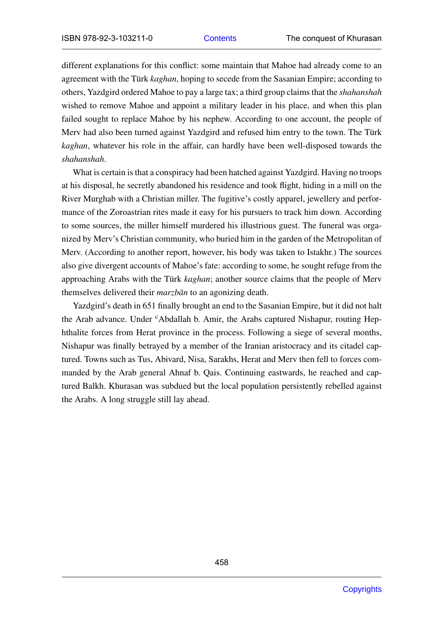different explanations for this conflict: some maintain that Mahoe had already come to an agreement with the Türk *kaghan*, hoping to secede from the Sasanian Empire; according to others, Yazdgird ordered Mahoe to pay a large tax; a third group claims that the *shahanshah* wished to remove Mahoe and appoint a military leader in his place, and when this plan failed sought to replace Mahoe by his nephew. According to one account, the people of Merv had also been turned against Yazdgird and refused him entry to the town. The Türk *kaghan*, whatever his role in the affair, can hardly have been well-disposed towards the *shahanshah*.

What is certain is that a conspiracy had been hatched against Yazdgird. Having no troops at his disposal, he secretly abandoned his residence and took flight, hiding in a mill on the River Murghab with a Christian miller. The fugitive's costly apparel, jewellery and performance of the Zoroastrian rites made it easy for his pursuers to track him down. According to some sources, the miller himself murdered his illustrious guest. The funeral was organized by Merv's Christian community, who buried him in the garden of the Metropolitan of Merv. (According to another report, however, his body was taken to Istakhr.) The sources also give divergent accounts of Mahoe's fate: according to some, he sought refuge from the approaching Arabs with the Türk *kaghan*; another source claims that the people of Merv themselves delivered their *marzban* to an agonizing death.

Yazdgird's death in 651 finally brought an end to the Sasanian Empire, but it did not halt the Arab advance. Under <sup>c</sup>Abdallah b. Amir, the Arabs captured Nishapur, routing Hephthalite forces from Herat province in the process. Following a siege of several months, Nishapur was finally betrayed by a member of the Iranian aristocracy and its citadel captured. Towns such as Tus, Abivard, Nisa, Sarakhs, Herat and Merv then fell to forces commanded by the Arab general Ahnaf b. Qais. Continuing eastwards, he reached and captured Balkh. Khurasan was subdued but the local population persistently rebelled against the Arabs. A long struggle still lay ahead.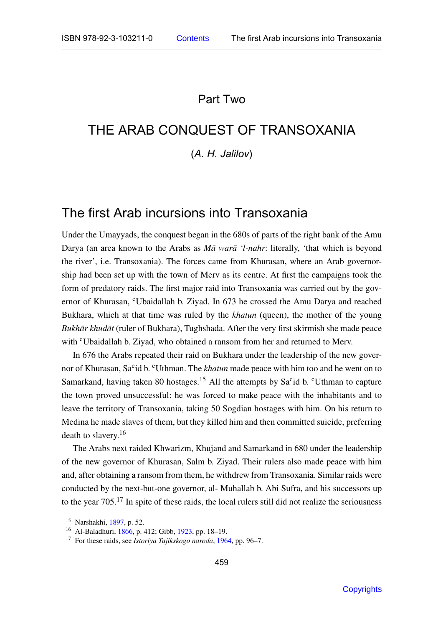#### Part Two

# THE ARAB CONQUEST OF TRANSOXANIA

(*A. H. Jalilov*)

#### The first Arab incursions into Transoxania

Under the Umayyads, the conquest began in the 680s of parts of the right bank of the Amu Darya (an area known to the Arabs as *Mā warā 'l-nahr*: literally, 'that which is beyond the river', i.e. Transoxania). The forces came from Khurasan, where an Arab governorship had been set up with the town of Merv as its centre. At first the campaigns took the form of predatory raids. The first major raid into Transoxania was carried out by the governor of Khurasan, <sup>c</sup>Ubaidallah b. Ziyad. In 673 he crossed the Amu Darya and reached Bukhara, which at that time was ruled by the *khatun* (queen), the mother of the young *Bukhār khudāt* (ruler of Bukhara), Tughshada. After the very first skirmish she made peace with <sup>c</sup>Ubaidallah b. Ziyad, who obtained a ransom from her and returned to Merv.

In 676 the Arabs repeated their raid on Bukhara under the leadership of the new governor of Khurasan, Sa<sup>c</sup>id b. <sup>c</sup>Uthman. The *khatun* made peace with him too and he went on to Samarkand, having taken 80 hostages.<sup>15</sup> All the attempts by  $Sa<sup>c</sup>id b.$  <sup>c</sup>Uthman to capture the town proved unsuccessful: he was forced to make peace with the inhabitants and to leave the territory of Transoxania, taking 50 Sogdian hostages with him. On his return to Medina he made slaves of them, but they killed him and then committed suicide, preferring death to slavery.<sup>16</sup>

The Arabs next raided Khwarizm, Khujand and Samarkand in 680 under the leadership of the new governor of Khurasan, Salm b. Ziyad. Their rulers also made peace with him and, after obtaining a ransom from them, he withdrew from Transoxania. Similar raids were conducted by the next-but-one governor, al- Muhallab b. Abi Sufra, and his successors up to the year 705.<sup>17</sup> In spite of these raids, the local rulers still did not realize the seriousness

<sup>15</sup> Narshakhi, 1897, p. 52.

<sup>16</sup> Al-Baladhuri, 1866, p. 412; Gibb, 1923, pp. 18–19.

<sup>17</sup> For these raids, see *Istoriya Tajikskogo naroda*, 1964, pp. 96–7.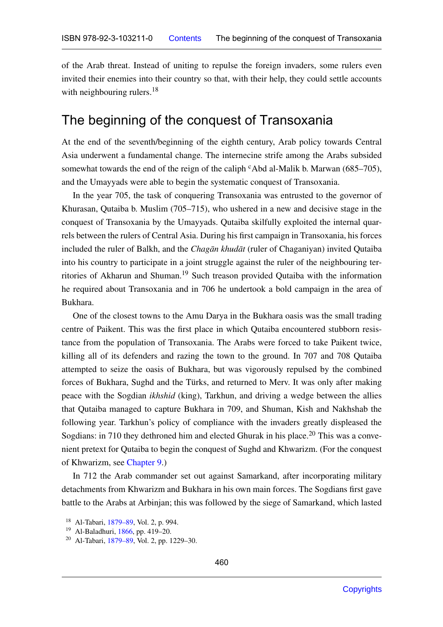of the Arab threat. Instead of uniting to repulse the foreign invaders, some rulers even invited their enemies into their country so that, with their help, they could settle accounts with neighbouring rulers.<sup>18</sup>

#### The beginning of the conquest of Transoxania

At the end of the seventh/beginning of the eighth century, Arab policy towards Central Asia underwent a fundamental change. The internecine strife among the Arabs subsided somewhat towards the end of the reign of the caliph  $c$ Abd al-Malik b. Marwan (685–705), and the Umayyads were able to begin the systematic conquest of Transoxania.

In the year 705, the task of conquering Transoxania was entrusted to the governor of Khurasan, Qutaiba b. Muslim (705–715), who ushered in a new and decisive stage in the conquest of Transoxania by the Umayyads. Qutaiba skilfully exploited the internal quarrels between the rulers of Central Asia. During his first campaign in Transoxania, his forces included the ruler of Balkh, and the *Chagān khudāt* (ruler of Chaganiyan) invited Qutaiba into his country to participate in a joint struggle against the ruler of the neighbouring territories of Akharun and Shuman.<sup>19</sup> Such treason provided Qutaiba with the information he required about Transoxania and in 706 he undertook a bold campaign in the area of Bukhara.

One of the closest towns to the Amu Darya in the Bukhara oasis was the small trading centre of Paikent. This was the first place in which Qutaiba encountered stubborn resistance from the population of Transoxania. The Arabs were forced to take Paikent twice, killing all of its defenders and razing the town to the ground. In 707 and 708 Qutaiba attempted to seize the oasis of Bukhara, but was vigorously repulsed by the combined forces of Bukhara, Sughd and the Türks, and returned to Merv. It was only after making peace with the Sogdian *ikhshid* (king), Tarkhun, and driving a wedge between the allies that Qutaiba managed to capture Bukhara in 709, and Shuman, Kish and Nakhshab the following year. Tarkhun's policy of compliance with the invaders greatly displeased the Sogdians: in 710 they dethroned him and elected Ghurak in his place.<sup>20</sup> This was a convenient pretext for Qutaiba to begin the conquest of Sughd and Khwarizm. (For the conquest of Khwarizm, see Chapter 9.)

In 712 the Arab commander set out against Samarkand, after incorporating military detachments from Khwarizm and Bukhara in his own main forces. The Sogdians first gave battle to the Arabs at Arbinjan; this was followed by the siege of Samarkand, which lasted

<sup>18</sup> Al-Tabari, 1879–89, Vol. 2, p. 994.

<sup>19</sup> Al-Baladhuri, 1866, pp. 419–20.

<sup>20</sup> Al-Tabari, 1879–89, Vol. 2, pp. 1229–30.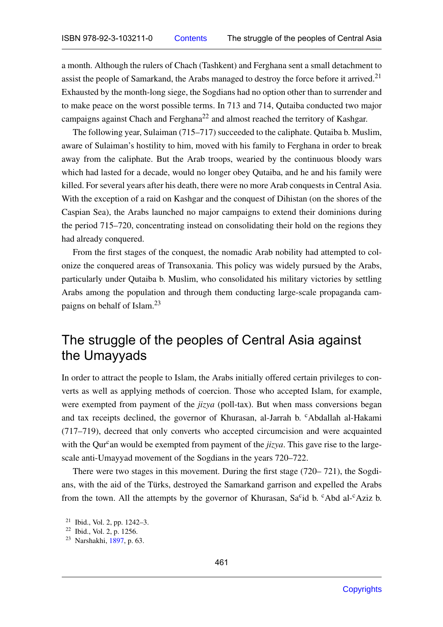a month. Although the rulers of Chach (Tashkent) and Ferghana sent a small detachment to assist the people of Samarkand, the Arabs managed to destroy the force before it arrived.<sup>21</sup> Exhausted by the month-long siege, the Sogdians had no option other than to surrender and to make peace on the worst possible terms. In 713 and 714, Qutaiba conducted two major campaigns against Chach and Ferghana<sup>22</sup> and almost reached the territory of Kashgar.

The following year, Sulaiman (715–717) succeeded to the caliphate. Qutaiba b. Muslim, aware of Sulaiman's hostility to him, moved with his family to Ferghana in order to break away from the caliphate. But the Arab troops, wearied by the continuous bloody wars which had lasted for a decade, would no longer obey Qutaiba, and he and his family were killed. For several years after his death, there were no more Arab conquests in Central Asia. With the exception of a raid on Kashgar and the conquest of Dihistan (on the shores of the Caspian Sea), the Arabs launched no major campaigns to extend their dominions during the period 715–720, concentrating instead on consolidating their hold on the regions they had already conquered.

From the first stages of the conquest, the nomadic Arab nobility had attempted to colonize the conquered areas of Transoxania. This policy was widely pursued by the Arabs, particularly under Qutaiba b. Muslim, who consolidated his military victories by settling Arabs among the population and through them conducting large-scale propaganda campaigns on behalf of Islam.<sup>23</sup>

# The struggle of the peoples of Central Asia against the Umayyads

In order to attract the people to Islam, the Arabs initially offered certain privileges to converts as well as applying methods of coercion. Those who accepted Islam, for example, were exempted from payment of the *jizya* (poll-tax). But when mass conversions began and tax receipts declined, the governor of Khurasan, al-Jarrah b. <sup>c</sup>Abdallah al-Hakami (717–719), decreed that only converts who accepted circumcision and were acquainted with the Qur<sup>c</sup>an would be exempted from payment of the *jizya*. This gave rise to the largescale anti-Umayyad movement of the Sogdians in the years 720–722.

There were two stages in this movement. During the first stage (720– 721), the Sogdians, with the aid of the Türks, destroyed the Samarkand garrison and expelled the Arabs from the town. All the attempts by the governor of Khurasan, Sa<sup>c</sup>id b. <sup>c</sup>Abd al-<sup>c</sup>Aziz b.

<sup>21</sup> Ibid., Vol. 2, pp. 1242–3.

<sup>22</sup> Ibid., Vol. 2, p. 1256.

<sup>23</sup> Narshakhi, 1897, p. 63.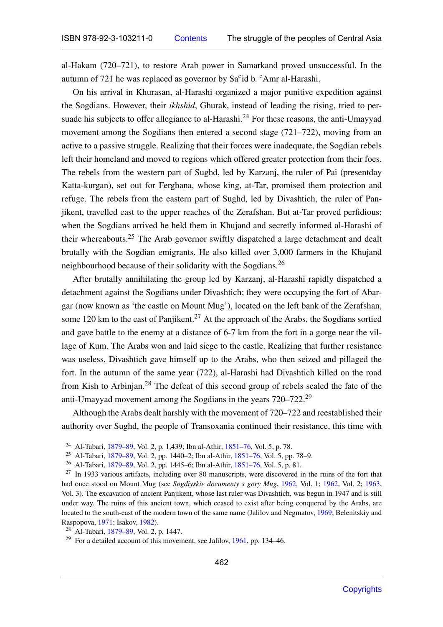al-Hakam (720–721), to restore Arab power in Samarkand proved unsuccessful. In the autumn of 721 he was replaced as governor by Sa<sup>c</sup>id b. <sup>c</sup>Amr al-Harashi.

On his arrival in Khurasan, al-Harashi organized a major punitive expedition against the Sogdians. However, their *ikhshid*, Ghurak, instead of leading the rising, tried to persuade his subjects to offer allegiance to al-Harashi.<sup>24</sup> For these reasons, the anti-Umayyad movement among the Sogdians then entered a second stage (721–722), moving from an active to a passive struggle. Realizing that their forces were inadequate, the Sogdian rebels left their homeland and moved to regions which offered greater protection from their foes. The rebels from the western part of Sughd, led by Karzanj, the ruler of Pai (presentday Katta-kurgan), set out for Ferghana, whose king, at-Tar, promised them protection and refuge. The rebels from the eastern part of Sughd, led by Divashtich, the ruler of Panjikent, travelled east to the upper reaches of the Zerafshan. But at-Tar proved perfidious; when the Sogdians arrived he held them in Khujand and secretly informed al-Harashi of their whereabouts.<sup>25</sup> The Arab governor swiftly dispatched a large detachment and dealt brutally with the Sogdian emigrants. He also killed over 3,000 farmers in the Khujand neighbourhood because of their solidarity with the Sogdians.<sup>26</sup>

After brutally annihilating the group led by Karzanj, al-Harashi rapidly dispatched a detachment against the Sogdians under Divashtich; they were occupying the fort of Abargar (now known as 'the castle on Mount Mug'), located on the left bank of the Zerafshan, some 120 km to the east of Panjikent.<sup>27</sup> At the approach of the Arabs, the Sogdians sortied and gave battle to the enemy at a distance of 6-7 km from the fort in a gorge near the village of Kum. The Arabs won and laid siege to the castle. Realizing that further resistance was useless, Divashtich gave himself up to the Arabs, who then seized and pillaged the fort. In the autumn of the same year (722), al-Harashi had Divashtich killed on the road from Kish to Arbinjan.<sup>28</sup> The defeat of this second group of rebels sealed the fate of the anti-Umayyad movement among the Sogdians in the years 720–722.<sup>29</sup>

Although the Arabs dealt harshly with the movement of 720–722 and reestablished their authority over Sughd, the people of Transoxania continued their resistance, this time with

<sup>28</sup> Al-Tabari, 1879–89, Vol. 2, p. 1447.

<sup>24</sup> Al-Tabari, 1879–89, Vol. 2, p. 1,439; Ibn al-Athir, 1851–76, Vol. 5, p. 78.

<sup>25</sup> Al-Tabari, 1879–89, Vol. 2, pp. 1440–2; Ibn al-Athir, 1851–76, Vol. 5, pp. 78–9.

<sup>26</sup> Al-Tabari, 1879–89, Vol. 2, pp. 1445–6; Ibn al-Athir, 1851–76, Vol. 5, p. 81.

<sup>&</sup>lt;sup>27</sup> In 1933 various artifacts, including over 80 manuscripts, were discovered in the ruins of the fort that had once stood on Mount Mug (see *Sogdiyskie documenty s gory Mug*, 1962, Vol. 1; 1962, Vol. 2; 1963, Vol. 3). The excavation of ancient Panjikent, whose last ruler was Divashtich, was begun in 1947 and is still under way. The ruins of this ancient town, which ceased to exist after being conquered by the Arabs, are located to the south-east of the modern town of the same name (Jalilov and Negmatov, 1969; Belenitskiy and Raspopova, 1971; Isakov, 1982).

<sup>&</sup>lt;sup>29</sup> For a detailed account of this movement, see Jalilov,  $1961$ , pp. 134-46.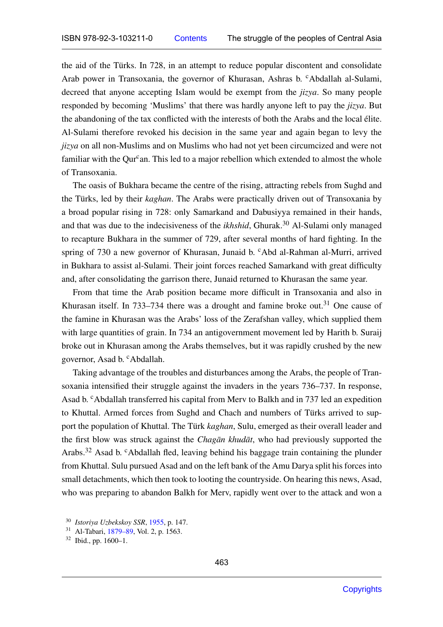the aid of the Türks. In 728, in an attempt to reduce popular discontent and consolidate Arab power in Transoxania, the governor of Khurasan, Ashras b. <sup>c</sup>Abdallah al-Sulami, decreed that anyone accepting Islam would be exempt from the *jizya*. So many people responded by becoming 'Muslims' that there was hardly anyone left to pay the *jizya*. But the abandoning of the tax conflicted with the interests of both the Arabs and the local élite. Al-Sulami therefore revoked his decision in the same year and again began to levy the *jizya* on all non-Muslims and on Muslims who had not yet been circumcized and were not familiar with the Qur<sup>c</sup>an. This led to a major rebellion which extended to almost the whole of Transoxania.

The oasis of Bukhara became the centre of the rising, attracting rebels from Sughd and the Türks, led by their *kaghan*. The Arabs were practically driven out of Transoxania by a broad popular rising in 728: only Samarkand and Dabusiyya remained in their hands, and that was due to the indecisiveness of the *ikhshid*, Ghurak.<sup>30</sup> Al-Sulami only managed to recapture Bukhara in the summer of 729, after several months of hard fighting. In the spring of 730 a new governor of Khurasan, Junaid b. <sup>c</sup>Abd al-Rahman al-Murri, arrived in Bukhara to assist al-Sulami. Their joint forces reached Samarkand with great difficulty and, after consolidating the garrison there, Junaid returned to Khurasan the same year.

From that time the Arab position became more difficult in Transoxania and also in Khurasan itself. In 733–734 there was a drought and famine broke out.<sup>31</sup> One cause of the famine in Khurasan was the Arabs' loss of the Zerafshan valley, which supplied them with large quantities of grain. In 734 an antigovernment movement led by Harith b. Suraij broke out in Khurasan among the Arabs themselves, but it was rapidly crushed by the new governor, Asad b. <sup>c</sup>Abdallah.

Taking advantage of the troubles and disturbances among the Arabs, the people of Transoxania intensified their struggle against the invaders in the years 736–737. In response, Asad b. <sup>c</sup>Abdallah transferred his capital from Merv to Balkh and in 737 led an expedition to Khuttal. Armed forces from Sughd and Chach and numbers of Türks arrived to support the population of Khuttal. The Türk *kaghan*, Sulu, emerged as their overall leader and the first blow was struck against the *Chagan khudat*, who had previously supported the Arabs.<sup>32</sup> Asad b.  $\textdegree$ Abdallah fled, leaving behind his baggage train containing the plunder from Khuttal. Sulu pursued Asad and on the left bank of the Amu Darya split his forces into small detachments, which then took to looting the countryside. On hearing this news, Asad, who was preparing to abandon Balkh for Merv, rapidly went over to the attack and won a

<sup>30</sup> *Istoriya Uzbekskoy SSR*, 1955, p. 147.

<sup>31</sup> Al-Tabari, 1879–89, Vol. 2, p. 1563.

<sup>32</sup> Ibid., pp. 1600–1.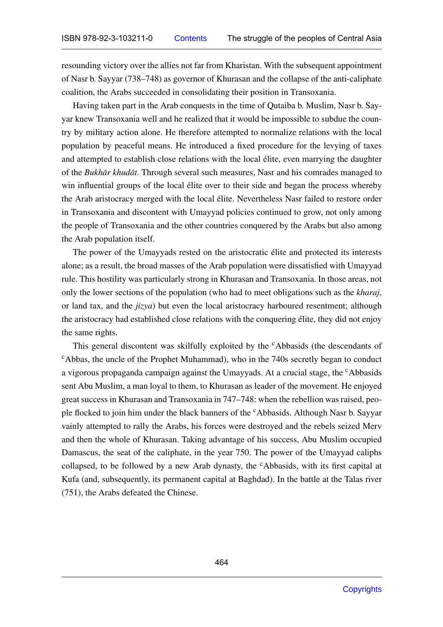resounding victory over the allies not far from Kharistan. With the subsequent appointment of Nasr b. Sayyar (738–748) as governor of Khurasan and the collapse of the anti-caliphate coalition, the Arabs succeeded in consolidating their position in Transoxania.

Having taken part in the Arab conquests in the time of Qutaiba b. Muslim, Nasr b. Sayyar knew Transoxania well and he realized that it would be impossible to subdue the country by military action alone. He therefore attempted to normalize relations with the local population by peaceful means. He introduced a fixed procedure for the levying of taxes and attempted to establish close relations with the local élite, even marrying the daughter of the *Bukhār khudāt*. Through several such measures, Nasr and his comrades managed to win influential groups of the local élite over to their side and began the process whereby the Arab aristocracy merged with the local élite. Nevertheless Nasr failed to restore order in Transoxania and discontent with Umayyad policies continued to grow, not only among the people of Transoxania and the other countries conquered by the Arabs but also among the Arab population itself.

The power of the Umayyads rested on the aristocratic élite and protected its interests alone; as a result, the broad masses of the Arab population were dissatisfied with Umayyad rule. This hostility was particularly strong in Khurasan and Transoxania. In those areas, not only the lower sections of the population (who had to meet obligations such as the *kharaj*, or land tax, and the *jizya*) but even the local aristocracy harboured resentment; although the aristocracy had established close relations with the conquering élite, they did not enjoy the same rights.

This general discontent was skilfully exploited by the <sup>c</sup>Abbasids (the descendants of <sup>c</sup>Abbas, the uncle of the Prophet Muhammad), who in the 740s secretly began to conduct a vigorous propaganda campaign against the Umayyads. At a crucial stage, the <sup>c</sup>Abbasids sent Abu Muslim, a man loyal to them, to Khurasan as leader of the movement. He enjoyed great success in Khurasan and Transoxania in 747–748: when the rebellion was raised, people flocked to join him under the black banners of the <sup>c</sup>Abbasids. Although Nasr b. Sayyar vainly attempted to rally the Arabs, his forces were destroyed and the rebels seized Merv and then the whole of Khurasan. Taking advantage of his success, Abu Muslim occupied Damascus, the seat of the caliphate, in the year 750. The power of the Umayyad caliphs collapsed, to be followed by a new Arab dynasty, the <sup>c</sup>Abbasids, with its first capital at Kufa (and, subsequently, its permanent capital at Baghdad). In the battle at the Talas river (751), the Arabs defeated the Chinese.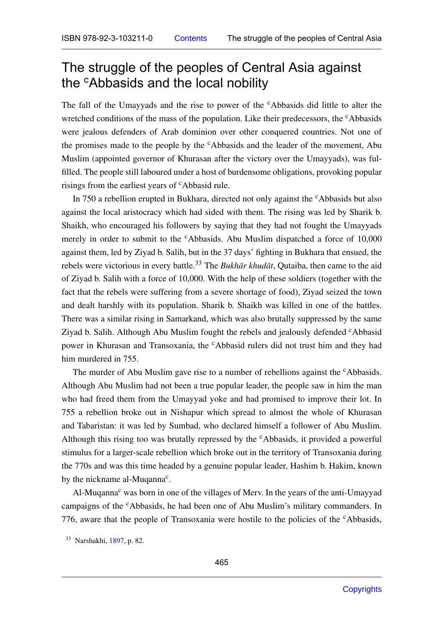# The struggle of the peoples of Central Asia against the <sup>c</sup>Abbasids and the local nobility

The fall of the Umayyads and the rise to power of the <sup>c</sup>Abbasids did little to alter the wretched conditions of the mass of the population. Like their predecessors, the  $c$ Abbasids were jealous defenders of Arab dominion over other conquered countries. Not one of the promises made to the people by the <sup>c</sup>Abbasids and the leader of the movement, Abu Muslim (appointed governor of Khurasan after the victory over the Umayyads), was fulfilled. The people still laboured under a host of burdensome obligations, provoking popular risings from the earliest years of <sup>c</sup>Abbasid rule.

In 750 a rebellion erupted in Bukhara, directed not only against the <sup>c</sup>Abbasids but also against the local aristocracy which had sided with them. The rising was led by Sharik b. Shaikh, who encouraged his followers by saying that they had not fought the Umayyads merely in order to submit to the  $c$ Abbasids. Abu Muslim dispatched a force of 10,000 against them, led by Ziyad b. Salih, but in the 37 days' fighting in Bukhara that ensued, the rebels were victorious in every battle.<sup>33</sup> The *Bukhār khudāt*, Qutaiba, then came to the aid of Ziyad b. Salih with a force of 10,000. With the help of these soldiers (together with the fact that the rebels were suffering from a severe shortage of food), Ziyad seized the town and dealt harshly with its population. Sharik b. Shaikh was killed in one of the battles. There was a similar rising in Samarkand, which was also brutally suppressed by the same Ziyad b. Salih. Although Abu Muslim fought the rebels and jealously defended <sup>c</sup>Abbasid power in Khurasan and Transoxania, the <sup>c</sup>Abbasid rulers did not trust him and they had him murdered in 755.

The murder of Abu Muslim gave rise to a number of rebellions against the <sup>c</sup>Abbasids. Although Abu Muslim had not been a true popular leader, the people saw in him the man who had freed them from the Umayyad yoke and had promised to improve their lot. In 755 a rebellion broke out in Nishapur which spread to almost the whole of Khurasan and Tabaristan: it was led by Sumbad, who declared himself a follower of Abu Muslim. Although this rising too was brutally repressed by the  $c$ Abbasids, it provided a powerful stimulus for a larger-scale rebellion which broke out in the territory of Transoxania during the 770s and was this time headed by a genuine popular leader, Hashim b. Hakim, known by the nickname al-Muqanna<sup>c</sup>.

Al-Muqanna<sup>c</sup> was born in one of the villages of Merv. In the years of the anti-Umayyad campaigns of the <sup>c</sup>Abbasids, he had been one of Abu Muslim's military commanders. In 776, aware that the people of Transoxania were hostile to the policies of the  $\epsilon$ Abbasids,

<sup>33</sup> Narshakhi, 1897, p. 82.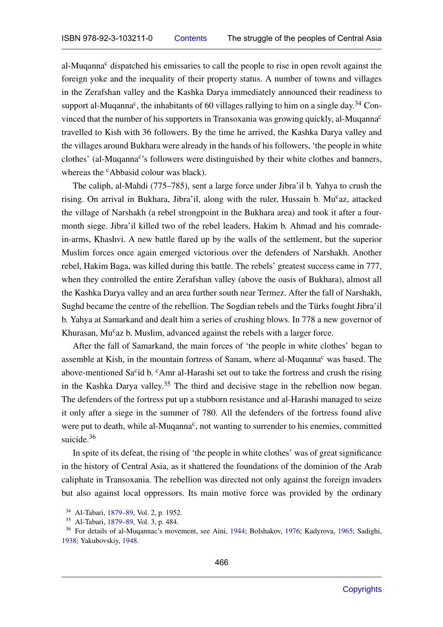al-Muqanna<sup>c</sup> dispatched his emissaries to call the people to rise in open revolt against the foreign yoke and the inequality of their property status. A number of towns and villages in the Zerafshan valley and the Kashka Darya immediately announced their readiness to support al-Muqanna<sup>c</sup>, the inhabitants of 60 villages rallying to him on a single day.<sup>34</sup> Convinced that the number of his supporters in Transoxania was growing quickly, al-Muqanna<sup>c</sup> travelled to Kish with 36 followers. By the time he arrived, the Kashka Darya valley and the villages around Bukhara were already in the hands of his followers, 'the people in white clothes' (al-Muqanna<sup>c</sup>'s followers were distinguished by their white clothes and banners, whereas the <sup>c</sup>Abbasid colour was black).

The caliph, al-Mahdi (775–785), sent a large force under Jibra'il b. Yahya to crush the rising. On arrival in Bukhara, Jibra'il, along with the ruler, Hussain b. Mu<sup>c</sup>az, attacked the village of Narshakh (a rebel strongpoint in the Bukhara area) and took it after a fourmonth siege. Jibra'il killed two of the rebel leaders, Hakim b. Ahmad and his comradein-arms, Khashvi. A new battle flared up by the walls of the settlement, but the superior Muslim forces once again emerged victorious over the defenders of Narshakh. Another rebel, Hakim Baga, was killed during this battle. The rebels' greatest success came in 777, when they controlled the entire Zerafshan valley (above the oasis of Bukhara), almost all the Kashka Darya valley and an area further south near Termez. After the fall of Narshakh, Sughd became the centre of the rebellion. The Sogdian rebels and the Türks fought Jibra'il b. Yahya at Samarkand and dealt him a series of crushing blows. In 778 a new governor of Khurasan, Mu<sup>c</sup>az b. Muslim, advanced against the rebels with a larger force.

After the fall of Samarkand, the main forces of 'the people in white clothes' began to assemble at Kish, in the mountain fortress of Sanam, where al-Muqanna<sup>c</sup> was based. The above-mentioned Sa<sup>c</sup>id b. <sup>c</sup>Amr al-Harashi set out to take the fortress and crush the rising in the Kashka Darya valley.<sup>35</sup> The third and decisive stage in the rebellion now began. The defenders of the fortress put up a stubborn resistance and al-Harashi managed to seize it only after a siege in the summer of 780. All the defenders of the fortress found alive were put to death, while al-Muqanna<sup>c</sup>, not wanting to surrender to his enemies, committed suicide.<sup>36</sup>

In spite of its defeat, the rising of 'the people in white clothes' was of great significance in the history of Central Asia, as it shattered the foundations of the dominion of the Arab caliphate in Transoxania. The rebellion was directed not only against the foreign invaders but also against local oppressors. Its main motive force was provided by the ordinary

<sup>34</sup> Al-Tabari, 1879–89, Vol. 2, p. 1952.

<sup>35</sup> Al-Tabari, 1879–89, Vol. 3, p. 484.

<sup>&</sup>lt;sup>36</sup> For details of al-Muqannac's movement, see Aini, 1944; Bolshakov, 1976; Kadyrova, 1965; Sadighi, 1938; Yakubovskiy, 1948.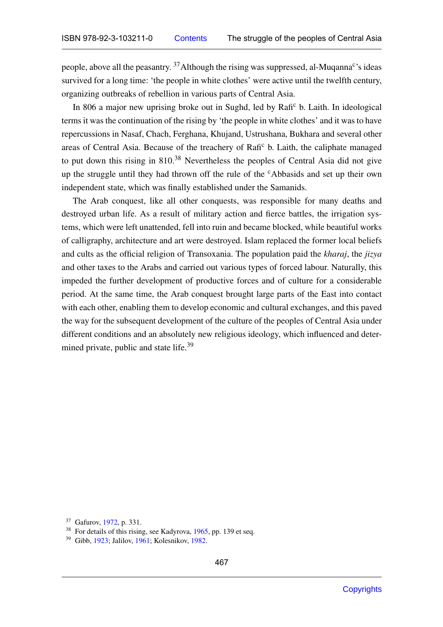people, above all the peasantry. <sup>37</sup> Although the rising was suppressed, al-Muqanna<sup>c</sup>'s ideas survived for a long time: 'the people in white clothes' were active until the twelfth century, organizing outbreaks of rebellion in various parts of Central Asia.

In 806 a major new uprising broke out in Sughd, led by Rafi<sup>c</sup> b. Laith. In ideological terms it was the continuation of the rising by 'the people in white clothes' and it was to have repercussions in Nasaf, Chach, Ferghana, Khujand, Ustrushana, Bukhara and several other areas of Central Asia. Because of the treachery of Rafi<sup>c</sup> b. Laith, the caliphate managed to put down this rising in  $810<sup>38</sup>$  Nevertheless the peoples of Central Asia did not give up the struggle until they had thrown off the rule of the <sup>c</sup>Abbasids and set up their own independent state, which was finally established under the Samanids.

The Arab conquest, like all other conquests, was responsible for many deaths and destroyed urban life. As a result of military action and fierce battles, the irrigation systems, which were left unattended, fell into ruin and became blocked, while beautiful works of calligraphy, architecture and art were destroyed. Islam replaced the former local beliefs and cults as the official religion of Transoxania. The population paid the *kharaj*, the *jizya* and other taxes to the Arabs and carried out various types of forced labour. Naturally, this impeded the further development of productive forces and of culture for a considerable period. At the same time, the Arab conquest brought large parts of the East into contact with each other, enabling them to develop economic and cultural exchanges, and this paved the way for the subsequent development of the culture of the peoples of Central Asia under different conditions and an absolutely new religious ideology, which influenced and determined private, public and state life.<sup>39</sup>

<sup>37</sup> Gafurov, 1972, p. 331.

<sup>38</sup> For details of this rising, see Kadyrova, 1965, pp. 139 et seq.

<sup>39</sup> Gibb, 1923; Jalilov, 1961; Kolesnikov, 1982.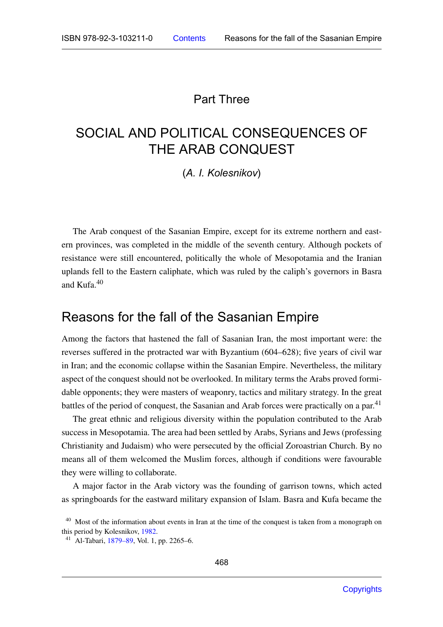#### Part Three

# SOCIAL AND POLITICAL CONSEQUENCES OF THE ARAB CONQUEST

(*A. I. Kolesnikov*)

The Arab conquest of the Sasanian Empire, except for its extreme northern and eastern provinces, was completed in the middle of the seventh century. Although pockets of resistance were still encountered, politically the whole of Mesopotamia and the Iranian uplands fell to the Eastern caliphate, which was ruled by the caliph's governors in Basra and Kufa.<sup>40</sup>

#### Reasons for the fall of the Sasanian Empire

Among the factors that hastened the fall of Sasanian Iran, the most important were: the reverses suffered in the protracted war with Byzantium (604–628); five years of civil war in Iran; and the economic collapse within the Sasanian Empire. Nevertheless, the military aspect of the conquest should not be overlooked. In military terms the Arabs proved formidable opponents; they were masters of weaponry, tactics and military strategy. In the great battles of the period of conquest, the Sasanian and Arab forces were practically on a par.<sup>41</sup>

The great ethnic and religious diversity within the population contributed to the Arab success in Mesopotamia. The area had been settled by Arabs, Syrians and Jews (professing Christianity and Judaism) who were persecuted by the official Zoroastrian Church. By no means all of them welcomed the Muslim forces, although if conditions were favourable they were willing to collaborate.

A major factor in the Arab victory was the founding of garrison towns, which acted as springboards for the eastward military expansion of Islam. Basra and Kufa became the

<sup>&</sup>lt;sup>40</sup> Most of the information about events in Iran at the time of the conquest is taken from a monograph on this period by Kolesnikov, 1982.

<sup>41</sup> Al-Tabari, 1879–89, Vol. 1, pp. 2265–6.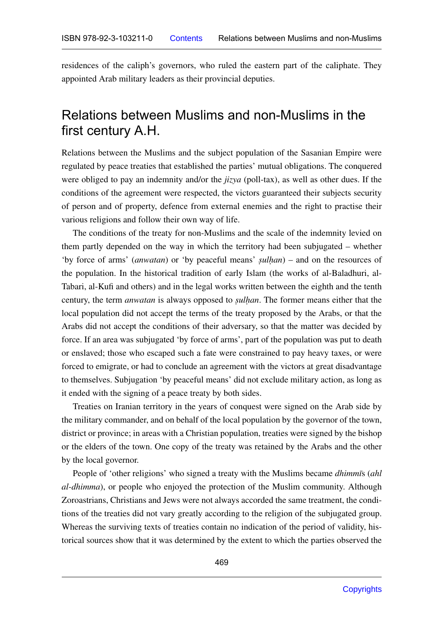residences of the caliph's governors, who ruled the eastern part of the caliphate. They appointed Arab military leaders as their provincial deputies.

# Relations between Muslims and non-Muslims in the first century A.H.

Relations between the Muslims and the subject population of the Sasanian Empire were regulated by peace treaties that established the parties' mutual obligations. The conquered were obliged to pay an indemnity and/or the *jizya* (poll-tax), as well as other dues. If the conditions of the agreement were respected, the victors guaranteed their subjects security of person and of property, defence from external enemies and the right to practise their various religions and follow their own way of life.

The conditions of the treaty for non-Muslims and the scale of the indemnity levied on them partly depended on the way in which the territory had been subjugated – whether 'by force of arms' *(anwatan)* or 'by peaceful means' *sulhan)* – and on the resources of the population. In the historical tradition of early Islam (the works of al-Baladhuri, al-Tabari, al-Kufi and others) and in the legal works written between the eighth and the tenth century, the term *anwatan* is always opposed to *sulhan*. The former means either that the local population did not accept the terms of the treaty proposed by the Arabs, or that the Arabs did not accept the conditions of their adversary, so that the matter was decided by force. If an area was subjugated 'by force of arms', part of the population was put to death or enslaved; those who escaped such a fate were constrained to pay heavy taxes, or were forced to emigrate, or had to conclude an agreement with the victors at great disadvantage to themselves. Subjugation 'by peaceful means' did not exclude military action, as long as it ended with the signing of a peace treaty by both sides.

Treaties on Iranian territory in the years of conquest were signed on the Arab side by the military commander, and on behalf of the local population by the governor of the town, district or province; in areas with a Christian population, treaties were signed by the bishop or the elders of the town. One copy of the treaty was retained by the Arabs and the other by the local governor.

People of 'other religions' who signed a treaty with the Muslims became *dhimmis* (*ahl al-dhimma*), or people who enjoyed the protection of the Muslim community. Although Zoroastrians, Christians and Jews were not always accorded the same treatment, the conditions of the treaties did not vary greatly according to the religion of the subjugated group. Whereas the surviving texts of treaties contain no indication of the period of validity, historical sources show that it was determined by the extent to which the parties observed the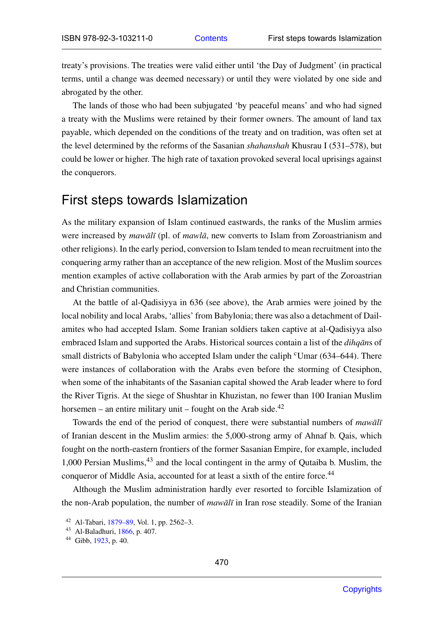treaty's provisions. The treaties were valid either until 'the Day of Judgment' (in practical terms, until a change was deemed necessary) or until they were violated by one side and abrogated by the other.

The lands of those who had been subjugated 'by peaceful means' and who had signed a treaty with the Muslims were retained by their former owners. The amount of land tax payable, which depended on the conditions of the treaty and on tradition, was often set at the level determined by the reforms of the Sasanian *shahanshah* Khusrau I (531–578), but could be lower or higher. The high rate of taxation provoked several local uprisings against the conquerors.

#### First steps towards Islamization

As the military expansion of Islam continued eastwards, the ranks of the Muslim armies were increased by *mawalī* (pl. of *mawla*, new converts to Islam from Zoroastrianism and other religions). In the early period, conversion to Islam tended to mean recruitment into the conquering army rather than an acceptance of the new religion. Most of the Muslim sources mention examples of active collaboration with the Arab armies by part of the Zoroastrian and Christian communities.

At the battle of al-Qadisiyya in 636 (see above), the Arab armies were joined by the local nobility and local Arabs, 'allies' from Babylonia; there was also a detachment of Dailamites who had accepted Islam. Some Iranian soldiers taken captive at al-Qadisiyya also embraced Islam and supported the Arabs. Historical sources contain a list of the *dihquans* of small districts of Babylonia who accepted Islam under the caliph  $\textdegree$ Umar (634–644). There were instances of collaboration with the Arabs even before the storming of Ctesiphon, when some of the inhabitants of the Sasanian capital showed the Arab leader where to ford the River Tigris. At the siege of Shushtar in Khuzistan, no fewer than 100 Iranian Muslim horsemen – an entire military unit – fought on the Arab side. $42$ 

Towards the end of the period of conquest, there were substantial numbers of *mawali* of Iranian descent in the Muslim armies: the 5,000-strong army of Ahnaf b. Qais, which fought on the north-eastern frontiers of the former Sasanian Empire, for example, included 1,000 Persian Muslims,  $43$  and the local contingent in the army of Outaiba b. Muslim, the conqueror of Middle Asia, accounted for at least a sixth of the entire force.<sup>44</sup>

Although the Muslim administration hardly ever resorted to forcible Islamization of the non-Arab population, the number of *mawalī* in Iran rose steadily. Some of the Iranian

<sup>42</sup> Al-Tabari, 1879–89, Vol. 1, pp. 2562–3.

<sup>43</sup> Al-Baladhuri, 1866, p. 407.

<sup>44</sup> Gibb, 1923, p. 40.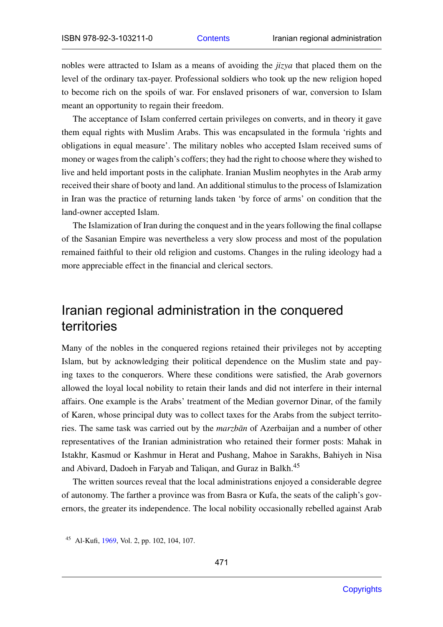nobles were attracted to Islam as a means of avoiding the *jizya* that placed them on the level of the ordinary tax-payer. Professional soldiers who took up the new religion hoped to become rich on the spoils of war. For enslaved prisoners of war, conversion to Islam meant an opportunity to regain their freedom.

The acceptance of Islam conferred certain privileges on converts, and in theory it gave them equal rights with Muslim Arabs. This was encapsulated in the formula 'rights and obligations in equal measure'. The military nobles who accepted Islam received sums of money or wages from the caliph's coffers; they had the right to choose where they wished to live and held important posts in the caliphate. Iranian Muslim neophytes in the Arab army received their share of booty and land. An additional stimulus to the process of Islamization in Iran was the practice of returning lands taken 'by force of arms' on condition that the land-owner accepted Islam.

The Islamization of Iran during the conquest and in the years following the final collapse of the Sasanian Empire was nevertheless a very slow process and most of the population remained faithful to their old religion and customs. Changes in the ruling ideology had a more appreciable effect in the financial and clerical sectors.

### Iranian regional administration in the conquered territories

Many of the nobles in the conquered regions retained their privileges not by accepting Islam, but by acknowledging their political dependence on the Muslim state and paying taxes to the conquerors. Where these conditions were satisfied, the Arab governors allowed the loyal local nobility to retain their lands and did not interfere in their internal affairs. One example is the Arabs' treatment of the Median governor Dinar, of the family of Karen, whose principal duty was to collect taxes for the Arabs from the subject territories. The same task was carried out by the *marzban* of Azerbaijan and a number of other representatives of the Iranian administration who retained their former posts: Mahak in Istakhr, Kasmud or Kashmur in Herat and Pushang, Mahoe in Sarakhs, Bahiyeh in Nisa and Abivard, Dadoeh in Faryab and Taliqan, and Guraz in Balkh.<sup>45</sup>

The written sources reveal that the local administrations enjoyed a considerable degree of autonomy. The farther a province was from Basra or Kufa, the seats of the caliph's governors, the greater its independence. The local nobility occasionally rebelled against Arab

<sup>45</sup> Al-Kufi, 1969, Vol. 2, pp. 102, 104, 107.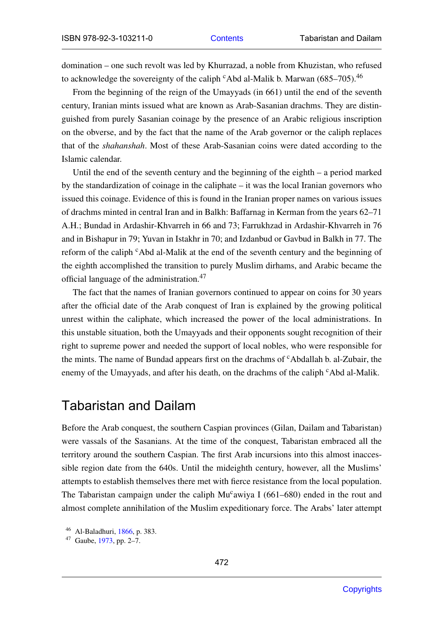domination – one such revolt was led by Khurrazad, a noble from Khuzistan, who refused to acknowledge the sovereignty of the caliph  $c$ Abd al-Malik b. Marwan (685–705).<sup>46</sup>

From the beginning of the reign of the Umayyads (in 661) until the end of the seventh century, Iranian mints issued what are known as Arab-Sasanian drachms. They are distinguished from purely Sasanian coinage by the presence of an Arabic religious inscription on the obverse, and by the fact that the name of the Arab governor or the caliph replaces that of the *shahanshah*. Most of these Arab-Sasanian coins were dated according to the Islamic calendar.

Until the end of the seventh century and the beginning of the eighth – a period marked by the standardization of coinage in the caliphate – it was the local Iranian governors who issued this coinage. Evidence of this is found in the Iranian proper names on various issues of drachms minted in central Iran and in Balkh: Baffarnag in Kerman from the years 62–71 A.H.; Bundad in Ardashir-Khvarreh in 66 and 73; Farrukhzad in Ardashir-Khvarreh in 76 and in Bishapur in 79; Yuvan in Istakhr in 70; and Izdanbud or Gavbud in Balkh in 77. The reform of the caliph <sup>c</sup>Abd al-Malik at the end of the seventh century and the beginning of the eighth accomplished the transition to purely Muslim dirhams, and Arabic became the official language of the administration.<sup>47</sup>

The fact that the names of Iranian governors continued to appear on coins for 30 years after the official date of the Arab conquest of Iran is explained by the growing political unrest within the caliphate, which increased the power of the local administrations. In this unstable situation, both the Umayyads and their opponents sought recognition of their right to supreme power and needed the support of local nobles, who were responsible for the mints. The name of Bundad appears first on the drachms of <sup>c</sup>Abdallah b. al-Zubair, the enemy of the Umayyads, and after his death, on the drachms of the caliph  $c$ Abd al-Malik.

### Tabaristan and Dailam

Before the Arab conquest, the southern Caspian provinces (Gilan, Dailam and Tabaristan) were vassals of the Sasanians. At the time of the conquest, Tabaristan embraced all the territory around the southern Caspian. The first Arab incursions into this almost inaccessible region date from the 640s. Until the mideighth century, however, all the Muslims' attempts to establish themselves there met with fierce resistance from the local population. The Tabaristan campaign under the caliph Mu<sup>c</sup>awiya I (661–680) ended in the rout and almost complete annihilation of the Muslim expeditionary force. The Arabs' later attempt

<sup>46</sup> Al-Baladhuri, 1866, p. 383.

<sup>47</sup> Gaube, 1973, pp. 2–7.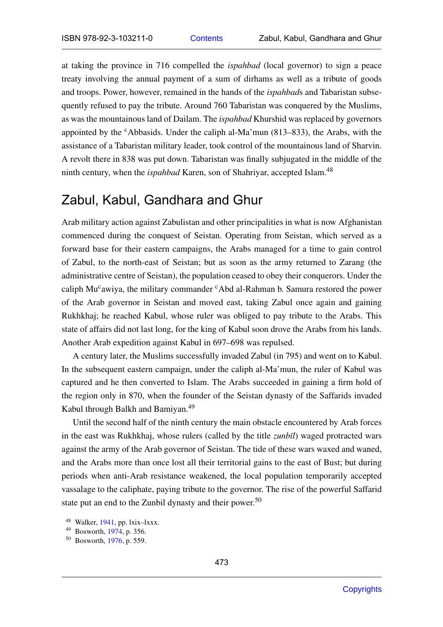at taking the province in 716 compelled the *ispahbad* (local governor) to sign a peace treaty involving the annual payment of a sum of dirhams as well as a tribute of goods and troops. Power, however, remained in the hands of the *ispahbad*s and Tabaristan subsequently refused to pay the tribute. Around 760 Tabaristan was conquered by the Muslims, as was the mountainous land of Dailam. The *ispahbad* Khurshid was replaced by governors appointed by the <sup>c</sup>Abbasids. Under the caliph al-Ma'mun (813–833), the Arabs, with the assistance of a Tabaristan military leader, took control of the mountainous land of Sharvin. A revolt there in 838 was put down. Tabaristan was finally subjugated in the middle of the ninth century, when the *ispahbad* Karen, son of Shahriyar, accepted Islam.<sup>48</sup>

### Zabul, Kabul, Gandhara and Ghur

Arab military action against Zabulistan and other principalities in what is now Afghanistan commenced during the conquest of Seistan. Operating from Seistan, which served as a forward base for their eastern campaigns, the Arabs managed for a time to gain control of Zabul, to the north-east of Seistan; but as soon as the army returned to Zarang (the administrative centre of Seistan), the population ceased to obey their conquerors. Under the caliph Mu<sup>c</sup>awiya, the military commander <sup>c</sup>Abd al-Rahman b. Samura restored the power of the Arab governor in Seistan and moved east, taking Zabul once again and gaining Rukhkhaj; he reached Kabul, whose ruler was obliged to pay tribute to the Arabs. This state of affairs did not last long, for the king of Kabul soon drove the Arabs from his lands. Another Arab expedition against Kabul in 697–698 was repulsed.

A century later, the Muslims successfully invaded Zabul (in 795) and went on to Kabul. In the subsequent eastern campaign, under the caliph al-Ma'mun, the ruler of Kabul was captured and he then converted to Islam. The Arabs succeeded in gaining a firm hold of the region only in 870, when the founder of the Seistan dynasty of the Saffarids invaded Kabul through Balkh and Bamiyan.<sup>49</sup>

Until the second half of the ninth century the main obstacle encountered by Arab forces in the east was Rukhkhaj, whose rulers (called by the title *zunb¯ıl*) waged protracted wars against the army of the Arab governor of Seistan. The tide of these wars waxed and waned, and the Arabs more than once lost all their territorial gains to the east of Bust; but during periods when anti-Arab resistance weakened, the local population temporarily accepted vassalage to the caliphate, paying tribute to the governor. The rise of the powerful Saffarid state put an end to the Zunbil dynasty and their power.<sup>50</sup>

<sup>48</sup> Walker, 1941, pp. lxix–lxxx.

<sup>49</sup> Bosworth, 1974, p. 356.

<sup>50</sup> Bosworth, 1976, p. 559.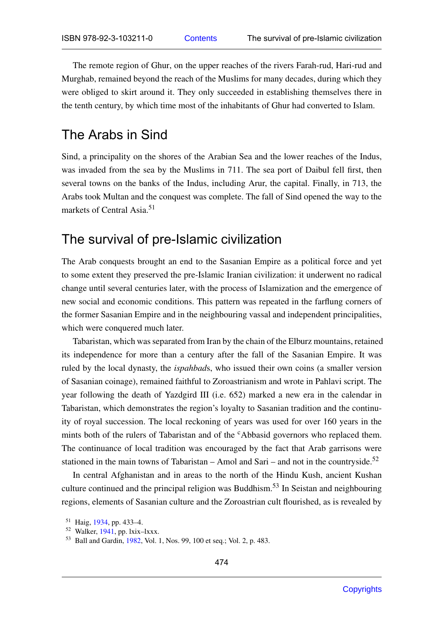The remote region of Ghur, on the upper reaches of the rivers Farah-rud, Hari-rud and Murghab, remained beyond the reach of the Muslims for many decades, during which they were obliged to skirt around it. They only succeeded in establishing themselves there in the tenth century, by which time most of the inhabitants of Ghur had converted to Islam.

# The Arabs in Sind

Sind, a principality on the shores of the Arabian Sea and the lower reaches of the Indus, was invaded from the sea by the Muslims in 711. The sea port of Daibul fell first, then several towns on the banks of the Indus, including Arur, the capital. Finally, in 713, the Arabs took Multan and the conquest was complete. The fall of Sind opened the way to the markets of Central Asia.<sup>51</sup>

# The survival of pre-Islamic civilization

The Arab conquests brought an end to the Sasanian Empire as a political force and yet to some extent they preserved the pre-Islamic Iranian civilization: it underwent no radical change until several centuries later, with the process of Islamization and the emergence of new social and economic conditions. This pattern was repeated in the farflung corners of the former Sasanian Empire and in the neighbouring vassal and independent principalities, which were conquered much later.

Tabaristan, which was separated from Iran by the chain of the Elburz mountains, retained its independence for more than a century after the fall of the Sasanian Empire. It was ruled by the local dynasty, the *ispahbad*s, who issued their own coins (a smaller version of Sasanian coinage), remained faithful to Zoroastrianism and wrote in Pahlavi script. The year following the death of Yazdgird III (i.e. 652) marked a new era in the calendar in Tabaristan, which demonstrates the region's loyalty to Sasanian tradition and the continuity of royal succession. The local reckoning of years was used for over 160 years in the mints both of the rulers of Tabaristan and of the <sup>c</sup>Abbasid governors who replaced them. The continuance of local tradition was encouraged by the fact that Arab garrisons were stationed in the main towns of Tabaristan – Amol and Sari – and not in the countryside.<sup>52</sup>

In central Afghanistan and in areas to the north of the Hindu Kush, ancient Kushan culture continued and the principal religion was Buddhism.<sup>53</sup> In Seistan and neighbouring regions, elements of Sasanian culture and the Zoroastrian cult flourished, as is revealed by

<sup>51</sup> Haig, 1934, pp. 433–4.

 $52$  Walker, 1941, pp. lxix–lxxx.

<sup>53</sup> Ball and Gardin, 1982, Vol. 1, Nos. 99, 100 et seq.; Vol. 2, p. 483.